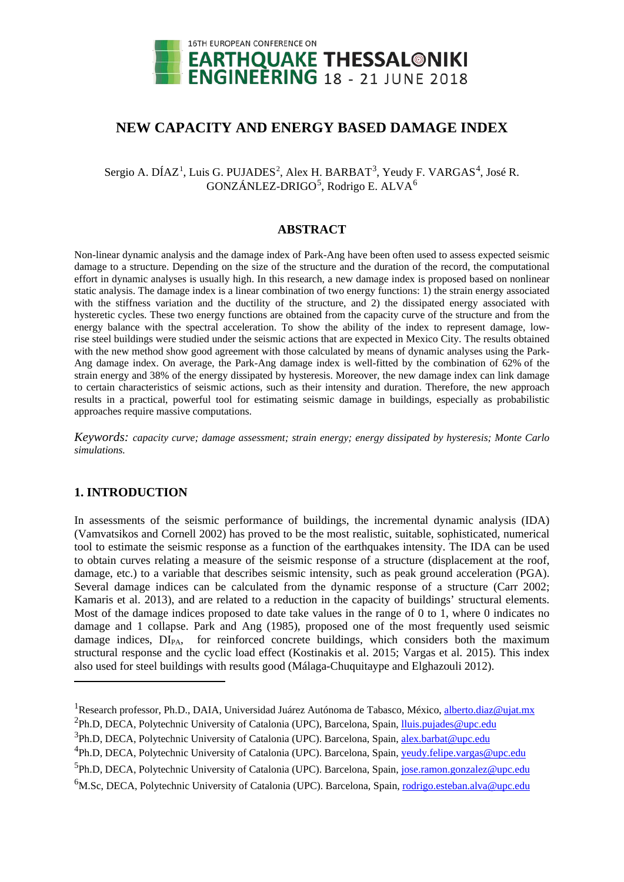

# **NEW CAPACITY AND ENERGY BASED DAMAGE INDEX**

Sergio A. DÍAZ<sup>[1](#page-0-0)</sup>, Luis G. PUJADES<sup>[2](#page-0-1)</sup>, Alex H. BARBAT<sup>[3](#page-0-2)</sup>, Yeudy F. VARGAS<sup>[4](#page-0-3)</sup>, José R. GONZÁNLEZ-DRIGO<sup>[5](#page-0-4)</sup>, Rodrigo E. ALVA<sup>[6](#page-0-5)</sup>

# **ABSTRACT**

Non-linear dynamic analysis and the damage index of Park-Ang have been often used to assess expected seismic damage to a structure. Depending on the size of the structure and the duration of the record, the computational effort in dynamic analyses is usually high. In this research, a new damage index is proposed based on nonlinear static analysis. The damage index is a linear combination of two energy functions: 1) the strain energy associated with the stiffness variation and the ductility of the structure, and 2) the dissipated energy associated with hysteretic cycles. These two energy functions are obtained from the capacity curve of the structure and from the energy balance with the spectral acceleration. To show the ability of the index to represent damage, lowrise steel buildings were studied under the seismic actions that are expected in Mexico City. The results obtained with the new method show good agreement with those calculated by means of dynamic analyses using the Park-Ang damage index. On average, the Park-Ang damage index is well-fitted by the combination of 62% of the strain energy and 38% of the energy dissipated by hysteresis. Moreover, the new damage index can link damage to certain characteristics of seismic actions, such as their intensity and duration. Therefore, the new approach results in a practical, powerful tool for estimating seismic damage in buildings, especially as probabilistic approaches require massive computations.

*Keywords: capacity curve; damage assessment; strain energy; energy dissipated by hysteresis; Monte Carlo simulations.*

# **1. INTRODUCTION**

-

In assessments of the seismic performance of buildings, the incremental dynamic analysis (IDA) (Vamvatsikos and Cornell 2002) has proved to be the most realistic, suitable, sophisticated, numerical tool to estimate the seismic response as a function of the earthquakes intensity. The IDA can be used to obtain curves relating a measure of the seismic response of a structure (displacement at the roof, damage, etc.) to a variable that describes seismic intensity, such as peak ground acceleration (PGA). Several damage indices can be calculated from the dynamic response of a structure (Carr 2002; Kamaris et al. 2013), and are related to a reduction in the capacity of buildings' structural elements. Most of the damage indices proposed to date take values in the range of 0 to 1, where 0 indicates no damage and 1 collapse. Park and Ang (1985), proposed one of the most frequently used seismic damage indices,  $DI_{PA}$ , for reinforced concrete buildings, which considers both the maximum structural response and the cyclic load effect (Kostinakis et al. 2015; Vargas et al. 2015). This index also used for steel buildings with results good (Málaga-Chuquitaype and Elghazouli 2012).

<span id="page-0-0"></span><sup>&</sup>lt;sup>1</sup> Research professor, Ph.D., DAIA, Universidad Juárez Autónoma de Tabasco, México, [alberto.diaz@ujat.mx](mailto:alberto.diaz@ujat.mx)

<span id="page-0-1"></span><sup>&</sup>lt;sup>2</sup>Ph.D, DECA, Polytechnic University of Catalonia (UPC), Barcelona, Spain, *Iluis.pujades@upc.edu* 

<span id="page-0-2"></span><sup>&</sup>lt;sup>3</sup>Ph.D, DECA, Polytechnic University of Catalonia (UPC). Barcelona, Spain, [alex.barbat@upc.edu](mailto:alex.barbat@upc.edu)

<span id="page-0-3"></span><sup>&</sup>lt;sup>4</sup>Ph.D, DECA, Polytechnic University of Catalonia (UPC). Barcelona, Spain, [yeudy.felipe.vargas@upc.edu](mailto:yeudy.felipe.vargas@upc.edu)

<span id="page-0-4"></span><sup>&</sup>lt;sup>5</sup>Ph.D, DECA, Polytechnic University of Catalonia (UPC). Barcelona, Spain, *jose.ramon.gonzalez@upc.edu* 

<span id="page-0-5"></span><sup>&</sup>lt;sup>6</sup>M.Sc, DECA, Polytechnic University of Catalonia (UPC). Barcelona, Spain, rodrigo.esteban.alva@upc.edu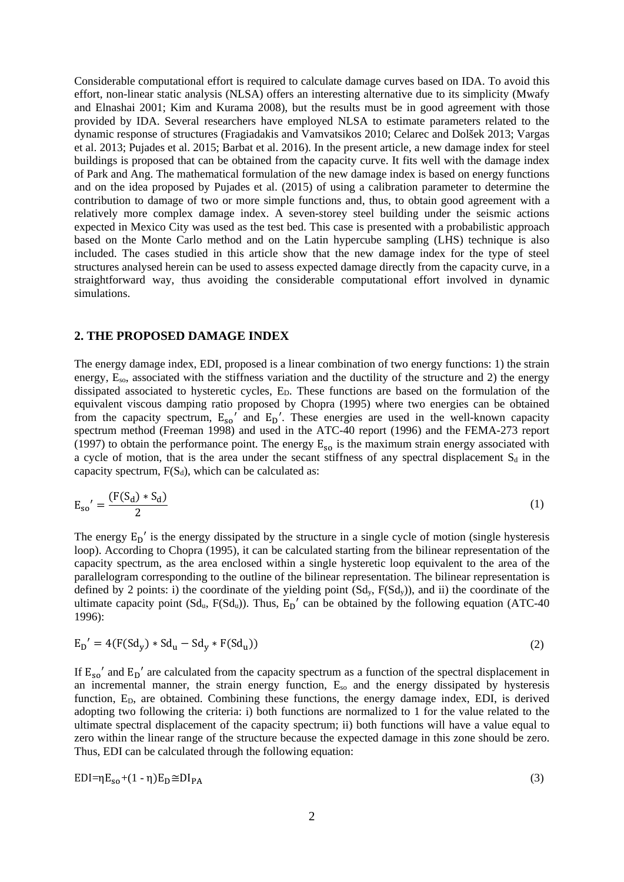Considerable computational effort is required to calculate damage curves based on IDA. To avoid this effort, non-linear static analysis (NLSA) offers an interesting alternative due to its simplicity (Mwafy and Elnashai 2001; Kim and Kurama 2008), but the results must be in good agreement with those provided by IDA. Several researchers have employed NLSA to estimate parameters related to the dynamic response of structures (Fragiadakis and Vamvatsikos 2010; Celarec and Dolšek 2013; Vargas et al. 2013; Pujades et al. 2015; Barbat et al. 2016). In the present article, a new damage index for steel buildings is proposed that can be obtained from the capacity curve. It fits well with the damage index of Park and Ang. The mathematical formulation of the new damage index is based on energy functions and on the idea proposed by Pujades et al. (2015) of using a calibration parameter to determine the contribution to damage of two or more simple functions and, thus, to obtain good agreement with a relatively more complex damage index. A seven-storey steel building under the seismic actions expected in Mexico City was used as the test bed. This case is presented with a probabilistic approach based on the Monte Carlo method and on the Latin hypercube sampling (LHS) technique is also included. The cases studied in this article show that the new damage index for the type of steel structures analysed herein can be used to assess expected damage directly from the capacity curve, in a straightforward way, thus avoiding the considerable computational effort involved in dynamic simulations.

#### **2. THE PROPOSED DAMAGE INDEX**

The energy damage index, EDI, proposed is a linear combination of two energy functions: 1) the strain energy, E<sub>so</sub>, associated with the stiffness variation and the ductility of the structure and 2) the energy dissipated associated to hysteretic cycles, E<sub>D</sub>. These functions are based on the formulation of the equivalent viscous damping ratio proposed by Chopra (1995) where two energies can be obtained from the capacity spectrum,  $E_{so}$ <sup>'</sup> and  $E_D$ '. These energies are used in the well-known capacity spectrum method (Freeman 1998) and used in the ATC-40 report (1996) and the FEMA-273 report (1997) to obtain the performance point. The energy  $E_{so}$  is the maximum strain energy associated with a cycle of motion, that is the area under the secant stiffness of any spectral displacement  $S_d$  in the capacity spectrum,  $F(S_d)$ , which can be calculated as:

$$
E_{so}' = \frac{(F(S_d) * S_d)}{2}
$$
 (1)

The energy  $E_D'$  is the energy dissipated by the structure in a single cycle of motion (single hysteresis loop). According to Chopra (1995), it can be calculated starting from the bilinear representation of the capacity spectrum, as the area enclosed within a single hysteretic loop equivalent to the area of the parallelogram corresponding to the outline of the bilinear representation. The bilinear representation is defined by 2 points: i) the coordinate of the yielding point  $(Sd_v, F(Sd_v))$ , and ii) the coordinate of the ultimate capacity point ( $Sd_u$ ,  $F(Sd_u)$ ). Thus,  $E_D'$  can be obtained by the following equation (ATC-40) 1996):

$$
E_D' = 4(F(Sd_y) * Sd_u - Sd_y * F(Sd_u))
$$
\n<sup>(2)</sup>

If  $E_{so}$ ' and  $E_D$ ' are calculated from the capacity spectrum as a function of the spectral displacement in an incremental manner, the strain energy function, E<sub>so</sub> and the energy dissipated by hysteresis function, E<sub>D</sub>, are obtained. Combining these functions, the energy damage index, EDI, is derived adopting two following the criteria: i) both functions are normalized to 1 for the value related to the ultimate spectral displacement of the capacity spectrum; ii) both functions will have a value equal to zero within the linear range of the structure because the expected damage in this zone should be zero. Thus, EDI can be calculated through the following equation:

$$
EDI = \eta E_{so} + (1 - \eta) E_D \cong DI_{PA}
$$
 (3)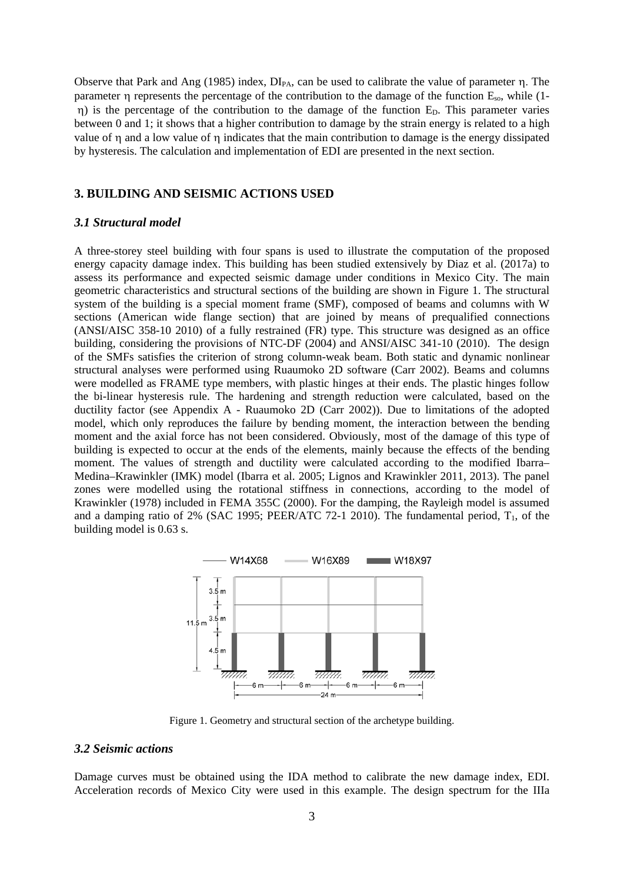Observe that Park and Ang (1985) index,  $DI_{PA}$ , can be used to calibrate the value of parameter η. The parameter η represents the percentage of the contribution to the damage of the function Eso, while (1  $η$ ) is the percentage of the contribution to the damage of the function  $E<sub>D</sub>$ . This parameter varies between 0 and 1; it shows that a higher contribution to damage by the strain energy is related to a high value of η and a low value of η indicates that the main contribution to damage is the energy dissipated by hysteresis. The calculation and implementation of EDI are presented in the next section.

### **3. BUILDING AND SEISMIC ACTIONS USED**

# *3.1 Structural model*

A three-storey steel building with four spans is used to illustrate the computation of the proposed energy capacity damage index. This building has been studied extensively by Diaz et al. (2017a) to assess its performance and expected seismic damage under conditions in Mexico City. The main geometric characteristics and structural sections of the building are shown in Figure 1. The structural system of the building is a special moment frame (SMF), composed of beams and columns with W sections (American wide flange section) that are joined by means of prequalified connections (ANSI/AISC 358-10 2010) of a fully restrained (FR) type. This structure was designed as an office building, considering the provisions of NTC-DF (2004) and ANSI/AISC 341-10 (2010). The design of the SMFs satisfies the criterion of strong column-weak beam. Both static and dynamic nonlinear structural analyses were performed using Ruaumoko 2D software (Carr 2002). Beams and columns were modelled as FRAME type members, with plastic hinges at their ends. The plastic hinges follow the bi-linear hysteresis rule. The hardening and strength reduction were calculated, based on the ductility factor (see Appendix A - Ruaumoko 2D (Carr 2002)). Due to limitations of the adopted model, which only reproduces the failure by bending moment, the interaction between the bending moment and the axial force has not been considered. Obviously, most of the damage of this type of building is expected to occur at the ends of the elements, mainly because the effects of the bending moment. The values of strength and ductility were calculated according to the modified Ibarra– Medina–Krawinkler (IMK) model (Ibarra et al. 2005; Lignos and Krawinkler 2011, 2013). The panel zones were modelled using the rotational stiffness in connections, according to the model of Krawinkler (1978) included in FEMA 355C (2000). For the damping, the Rayleigh model is assumed and a damping ratio of 2% (SAC 1995; PEER/ATC 72-1 2010). The fundamental period,  $T_1$ , of the building model is 0.63 s.



Figure 1. Geometry and structural section of the archetype building.

# *3.2 Seismic actions*

Damage curves must be obtained using the IDA method to calibrate the new damage index, EDI. Acceleration records of Mexico City were used in this example. The design spectrum for the IIIa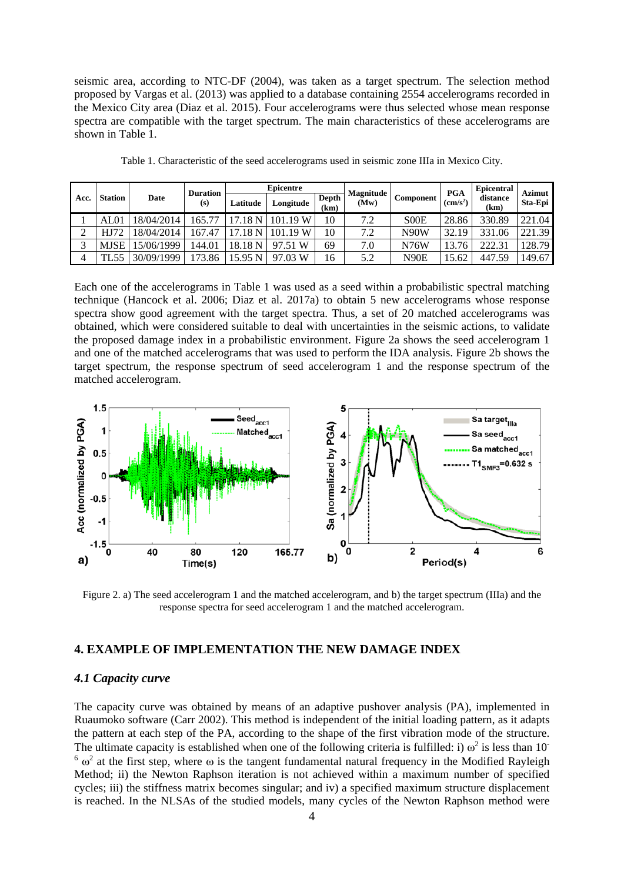seismic area, according to NTC-DF (2004), was taken as a target spectrum. The selection method proposed by Vargas et al. (2013) was applied to a database containing 2554 accelerograms recorded in the Mexico City area (Diaz et al. 2015). Four accelerograms were thus selected whose mean response spectra are compatible with the target spectrum. The main characteristics of these accelerograms are shown in Table 1.

| Acc. |                |            | <b>Duration</b><br>(s) | <b>Epicentre</b> |           |                      |                          |                               | <b>PGA</b>     | Epicentral       | Azimut  |
|------|----------------|------------|------------------------|------------------|-----------|----------------------|--------------------------|-------------------------------|----------------|------------------|---------|
|      | <b>Station</b> | Date       |                        | Latitude         | Longitude | <b>Depth</b><br>(km) | <b>Magnitude</b><br>(Mw) | Component                     | $\rm (cm/s^2)$ | distance<br>(km) | Sta-Epi |
|      | AL01           | 8/04/2014  | 165.77                 | 17.18            | 101.19 W  | 10                   | 7.2                      | S <sub>0</sub> O <sub>E</sub> | 28.86          | 330.89           | 221.04  |
|      |                | 8/04/2014  | 167.47                 | 17.18            | 101.19 W  | 10                   | 7.2                      | N90W                          | 32.19          | 331.06           | 221.39  |
|      | <b>MJSE</b>    | 5/06/1999  | 144.01                 | 18.18 N          | 97.51 W   | 69                   | 7.0                      | N76W                          | 13.76          | 222.31           | 128.79  |
|      | L55            | 30/09/1999 | 173.86                 | 15.95 N          | 97.03 W   | 16                   | 5.2                      | N90E                          | 15.62          | 447.59           | 149.67  |

Table 1. Characteristic of the seed accelerograms used in seismic zone IIIa in Mexico City.

Each one of the accelerograms in Table 1 was used as a seed within a probabilistic spectral matching technique (Hancock et al. 2006; Diaz et al. 2017a) to obtain 5 new accelerograms whose response spectra show good agreement with the target spectra. Thus, a set of 20 matched accelerograms was obtained, which were considered suitable to deal with uncertainties in the seismic actions, to validate the proposed damage index in a probabilistic environment. Figure 2a shows the seed accelerogram 1 and one of the matched accelerograms that was used to perform the IDA analysis. Figure 2b shows the target spectrum, the response spectrum of seed accelerogram 1 and the response spectrum of the matched accelerogram.



Figure 2. a) The seed accelerogram 1 and the matched accelerogram, and b) the target spectrum (IIIa) and the response spectra for seed accelerogram 1 and the matched accelerogram.

# **4. EXAMPLE OF IMPLEMENTATION THE NEW DAMAGE INDEX**

#### *4.1 Capacity curve*

The capacity curve was obtained by means of an adaptive pushover analysis (PA), implemented in Ruaumoko software (Carr 2002). This method is independent of the initial loading pattern, as it adapts the pattern at each step of the PA, according to the shape of the first vibration mode of the structure. The ultimate capacity is established when one of the following criteria is fulfilled: i)  $\omega^2$  is less than 10<sup>-</sup>  $6 \omega^2$  at the first step, where  $\omega$  is the tangent fundamental natural frequency in the Modified Rayleigh Method; ii) the Newton Raphson iteration is not achieved within a maximum number of specified cycles; iii) the stiffness matrix becomes singular; and iv) a specified maximum structure displacement is reached. In the NLSAs of the studied models, many cycles of the Newton Raphson method were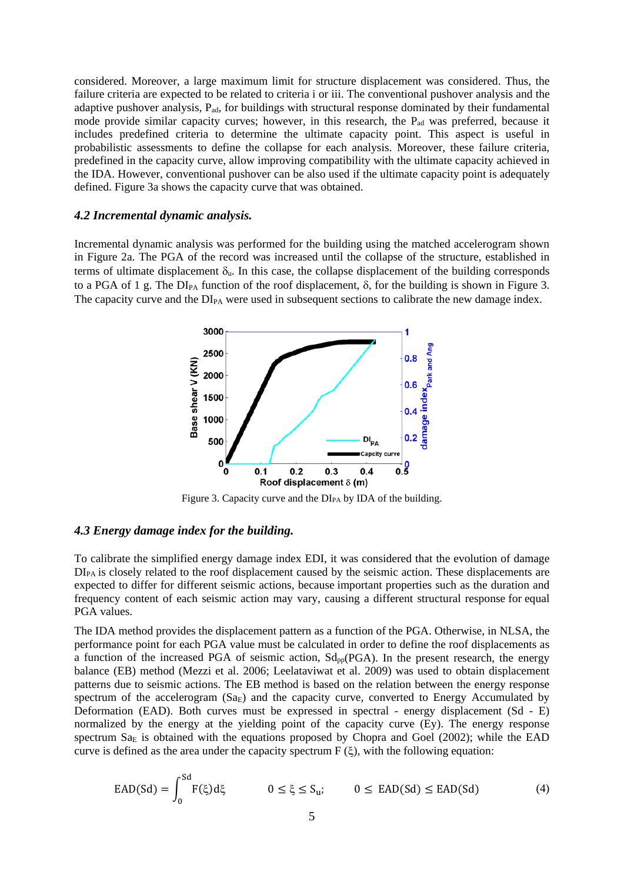considered. Moreover, a large maximum limit for structure displacement was considered. Thus, the failure criteria are expected to be related to criteria i or iii. The conventional pushover analysis and the adaptive pushover analysis, Pad, for buildings with structural response dominated by their fundamental mode provide similar capacity curves; however, in this research, the  $P_{ad}$  was preferred, because it includes predefined criteria to determine the ultimate capacity point. This aspect is useful in probabilistic assessments to define the collapse for each analysis. Moreover, these failure criteria, predefined in the capacity curve, allow improving compatibility with the ultimate capacity achieved in the IDA. However, conventional pushover can be also used if the ultimate capacity point is adequately defined. Figure 3a shows the capacity curve that was obtained.

## *4.2 Incremental dynamic analysis.*

Incremental dynamic analysis was performed for the building using the matched accelerogram shown in Figure 2a. The PGA of the record was increased until the collapse of the structure, established in terms of ultimate displacement  $\delta_u$ . In this case, the collapse displacement of the building corresponds to a PGA of 1 g. The  $DI_{PA}$  function of the roof displacement,  $\delta$ , for the building is shown in Figure 3. The capacity curve and the DI<sub>PA</sub> were used in subsequent sections to calibrate the new damage index.



Figure 3. Capacity curve and the  $DI_{PA}$  by IDA of the building.

#### *4.3 Energy damage index for the building.*

To calibrate the simplified energy damage index EDI, it was considered that the evolution of damage DI<sub>PA</sub> is closely related to the roof displacement caused by the seismic action. These displacements are expected to differ for different seismic actions, because important properties such as the duration and frequency content of each seismic action may vary, causing a different structural response for equal PGA values.

The IDA method provides the displacement pattern as a function of the PGA. Otherwise, in NLSA, the performance point for each PGA value must be calculated in order to define the roof displacements as a function of the increased PGA of seismic action,  $\text{Sd}_{\text{pp}}(\text{PGA})$ . In the present research, the energy balance (EB) method (Mezzi et al. 2006; Leelataviwat et al. 2009) was used to obtain displacement patterns due to seismic actions. The EB method is based on the relation between the energy response spectrum of the accelerogram (SaE) and the capacity curve, converted to Energy Accumulated by Deformation (EAD). Both curves must be expressed in spectral - energy displacement (Sd - E) normalized by the energy at the yielding point of the capacity curve (Ey). The energy response spectrum  $Sa<sub>E</sub>$  is obtained with the equations proposed by Chopra and Goel (2002); while the EAD curve is defined as the area under the capacity spectrum  $F(\xi)$ , with the following equation:

$$
EAD(Sd) = \int_0^{Sd} F(\xi) d\xi \qquad 0 \le \xi \le S_u; \qquad 0 \le EAD(Sd) \le EAD(Sd) \qquad (4)
$$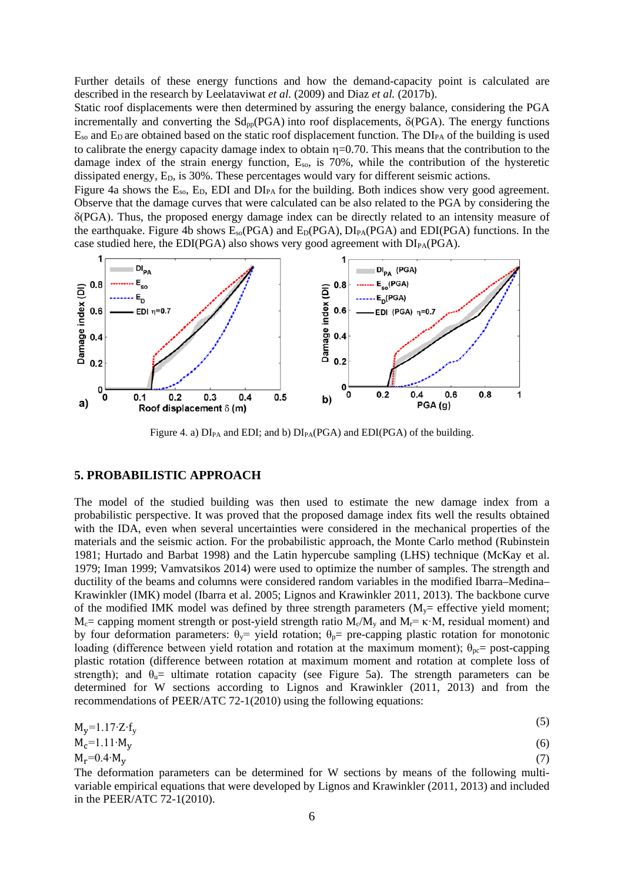Further details of these energy functions and how the demand-capacity point is calculated are described in the research by Leelataviwat *et al.* (2009) and Diaz *et al.* (2017b).

Static roof displacements were then determined by assuring the energy balance, considering the PGA incrementally and converting the  $\text{Sd}_{\text{pp}}(\text{PGA})$  into roof displacements,  $\delta(\text{PGA})$ . The energy functions  $E_{\rm so}$  and  $E_{\rm D}$  are obtained based on the static roof displacement function. The  $D I_{\rm PA}$  of the building is used to calibrate the energy capacity damage index to obtain  $\eta$ =0.70. This means that the contribution to the damage index of the strain energy function,  $E_{so}$ , is 70%, while the contribution of the hysteretic dissipated energy, E<sub>D</sub>, is 30%. These percentages would vary for different seismic actions.

Figure 4a shows the  $E_{so}$ ,  $E_D$ , EDI and  $DI_{PA}$  for the building. Both indices show very good agreement. Observe that the damage curves that were calculated can be also related to the PGA by considering the δ(PGA). Thus, the proposed energy damage index can be directly related to an intensity measure of the earthquake. Figure 4b shows  $E_{so}(PGA)$  and  $E_D(PGA)$ ,  $DI_{PA}(PGA)$  and  $EDI(PGA)$  functions. In the case studied here, the EDI(PGA) also shows very good agreement with  $DI_{PA}(PGA)$ .



Figure 4. a)  $DI_{PA}$  and EDI; and b)  $DI_{PA}(PGA)$  and  $EDI(PGA)$  of the building.

## **5. PROBABILISTIC APPROACH**

The model of the studied building was then used to estimate the new damage index from a probabilistic perspective. It was proved that the proposed damage index fits well the results obtained with the IDA, even when several uncertainties were considered in the mechanical properties of the materials and the seismic action. For the probabilistic approach, the Monte Carlo method (Rubinstein 1981; Hurtado and Barbat 1998) and the Latin hypercube sampling (LHS) technique (McKay et al. 1979; Iman 1999; Vamvatsikos 2014) were used to optimize the number of samples. The strength and ductility of the beams and columns were considered random variables in the modified Ibarra–Medina– Krawinkler (IMK) model (Ibarra et al. 2005; Lignos and Krawinkler 2011, 2013). The backbone curve of the modified IMK model was defined by three strength parameters  $(M<sub>y</sub>=$  effective yield moment;  $M_c$  = capping moment strength or post-yield strength ratio  $M_c/M_v$  and  $M_r$  = κ·M, residual moment) and by four deformation parameters:  $\theta_{\gamma}$ = yield rotation;  $\theta_{p}$ = pre-capping plastic rotation for monotonic loading (difference between yield rotation and rotation at the maximum moment);  $\theta_{\text{nc}}$  = post-capping plastic rotation (difference between rotation at maximum moment and rotation at complete loss of strength); and  $\theta_{\rm u}$ = ultimate rotation capacity (see Figure 5a). The strength parameters can be determined for W sections according to Lignos and Krawinkler (2011, 2013) and from the recommendations of PEER/ATC 72-1(2010) using the following equations:

$$
M_y = 1.17 \cdot Z \cdot f_y \tag{5}
$$

$$
M_c=1.11 \cdot M_y \tag{6}
$$
  
\n
$$
M_r=0.4 \cdot M_y \tag{7}
$$

The deformation parameters can be determined for W sections by means of the following multivariable empirical equations that were developed by Lignos and Krawinkler (2011, 2013) and included in the PEER/ATC 72-1(2010).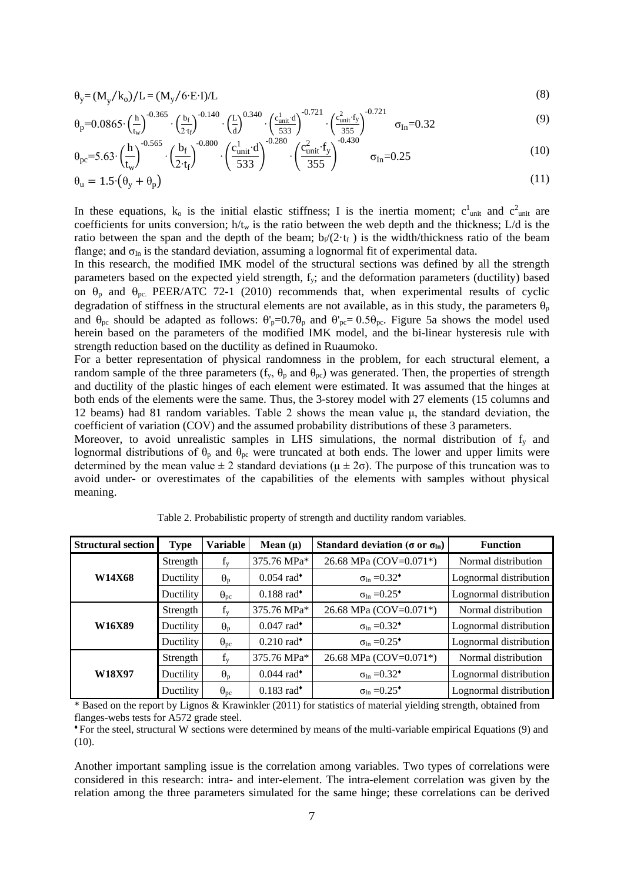$$
\theta_{y} = (M_{y}/k_{o})/L = (M_{y}/6 \cdot E \cdot I)/L
$$
\n(8)

$$
\theta_{p} = 0.0865 \cdot \left(\frac{h}{t_{w}}\right)^{-0.365} \cdot \left(\frac{b_{f}}{2 \cdot t_{f}}\right)^{-0.140} \cdot \left(\frac{L}{d}\right)^{0.340} \cdot \left(\frac{c_{\text{unit}}^{1} d}{333}\right)^{-0.721} \cdot \left(\frac{c_{\text{unit}}^{2} t_{y}}{353}\right)^{-0.721} \quad \sigma_{In} = 0.32
$$
\n(9)

$$
\theta_{\text{pc}} = 5.63 \cdot \left(\frac{h}{t_w}\right)^{-0.565} \cdot \left(\frac{b_f}{2 \cdot t_f}\right)^{-0.800} \cdot \left(\frac{c_{\text{unit}}^1 \cdot d}{533}\right)^{-0.280} \cdot \left(\frac{c_{\text{unit}}^2 \cdot f_y}{355}\right)^{-0.430} \quad \sigma_{\text{In}} = 0.25 \tag{10}
$$

$$
\theta_{\rm u} = 1.5 \cdot (\theta_{\rm y} + \theta_{\rm p}) \tag{11}
$$

In these equations,  $k_0$  is the initial elastic stiffness; I is the inertia moment;  $c_{unit}^1$  and  $c_{unit}^2$  are coefficients for units conversion;  $h/t_w$  is the ratio between the web depth and the thickness;  $L/d$  is the ratio between the span and the depth of the beam;  $b_f/(2 \cdot t_f)$  is the width/thickness ratio of the beam flange; and  $\sigma_{In}$  is the standard deviation, assuming a lognormal fit of experimental data.

In this research, the modified IMK model of the structural sections was defined by all the strength parameters based on the expected yield strength, fy; and the deformation parameters (ductility) based on  $\theta_p$  and  $\theta_{pc}$ . PEER/ATC 72-1 (2010) recommends that, when experimental results of cyclic degradation of stiffness in the structural elements are not available, as in this study, the parameters  $\theta_p$ and  $\theta_{\text{pc}}$  should be adapted as follows:  $\theta'_{\text{p}}=0.7\theta_{\text{p}}$  and  $\theta'_{\text{pc}}=0.5\theta_{\text{pc}}$ . Figure 5a shows the model used herein based on the parameters of the modified IMK model, and the bi-linear hysteresis rule with strength reduction based on the ductility as defined in Ruaumoko.

For a better representation of physical randomness in the problem, for each structural element, a random sample of the three parameters  $(f_v, \theta_p \text{ and } \theta_{pc})$  was generated. Then, the properties of strength and ductility of the plastic hinges of each element were estimated. It was assumed that the hinges at both ends of the elements were the same. Thus, the 3-storey model with 27 elements (15 columns and 12 beams) had 81 random variables. Table 2 shows the mean value μ, the standard deviation, the coefficient of variation (COV) and the assumed probability distributions of these 3 parameters.

Moreover, to avoid unrealistic samples in LHS simulations, the normal distribution of  $f<sub>v</sub>$  and lognormal distributions of  $\theta_p$  and  $\theta_{pc}$  were truncated at both ends. The lower and upper limits were determined by the mean value  $\pm 2$  standard deviations ( $\mu \pm 2\sigma$ ). The purpose of this truncation was to avoid under- or overestimates of the capabilities of the elements with samples without physical meaning.

| <b>Structural section</b> | <b>Type</b> | <b>Variable</b>   | Mean $(\mu)$             | Standard deviation ( $\sigma$ or $\sigma$ <sub>ln</sub> ) | <b>Function</b>        |
|---------------------------|-------------|-------------------|--------------------------|-----------------------------------------------------------|------------------------|
|                           | Strength    | $f_{v}$           | 375.76 MPa*              | 26.68 MPa (COV=0.071*)                                    | Normal distribution    |
| W14X68                    | Ductility   | $\theta_{p}$      | $0.054$ rad <sup>*</sup> | $\sigma_{\text{ln}} = 0.32^{\bullet}$                     | Lognormal distribution |
|                           | Ductility   | $\Theta_{\rm pc}$ | $0.188$ rad <sup>*</sup> | $\sigma_{\text{ln}} = 0.25^{\bullet}$                     | Lognormal distribution |
|                           | Strength    | $f_{y}$           | 375.76 MPa*              | 26.68 MPa (COV=0.071*)                                    | Normal distribution    |
| W16X89                    | Ductility   | $\theta_{p}$      | $0.047$ rad <sup>*</sup> | $\sigma_{\ln} = 0.32^{\bullet}$                           | Lognormal distribution |
|                           | Ductility   | $\Theta_{\rm pc}$ | $0.210$ rad <sup>*</sup> | $\sigma_{\text{ln}} = 0.25^{\bullet}$                     | Lognormal distribution |
|                           | Strength    | $f_{y}$           | 375.76 MPa*              | 26.68 MPa (COV=0.071*)                                    | Normal distribution    |
| W18X97                    | Ductility   | $\theta_p$        | $0.044$ rad <sup>*</sup> | $\sigma_{\text{ln}} = 0.32^{\bullet}$                     | Lognormal distribution |
|                           | Ductility   | $\theta_{\rm pc}$ | $0.183$ rad <sup>*</sup> | $\sigma_{\text{ln}} = 0.25^{\bullet}$                     | Lognormal distribution |

Table 2. Probabilistic property of strength and ductility random variables.

\* Based on the report by Lignos & Krawinkler (2011) for statistics of material yielding strength, obtained from flanges-webs tests for A572 grade steel.

♦ For the steel, structural W sections were determined by means of the multi-variable empirical Equations (9) and (10).

Another important sampling issue is the correlation among variables. Two types of correlations were considered in this research: intra- and inter-element. The intra-element correlation was given by the relation among the three parameters simulated for the same hinge; these correlations can be derived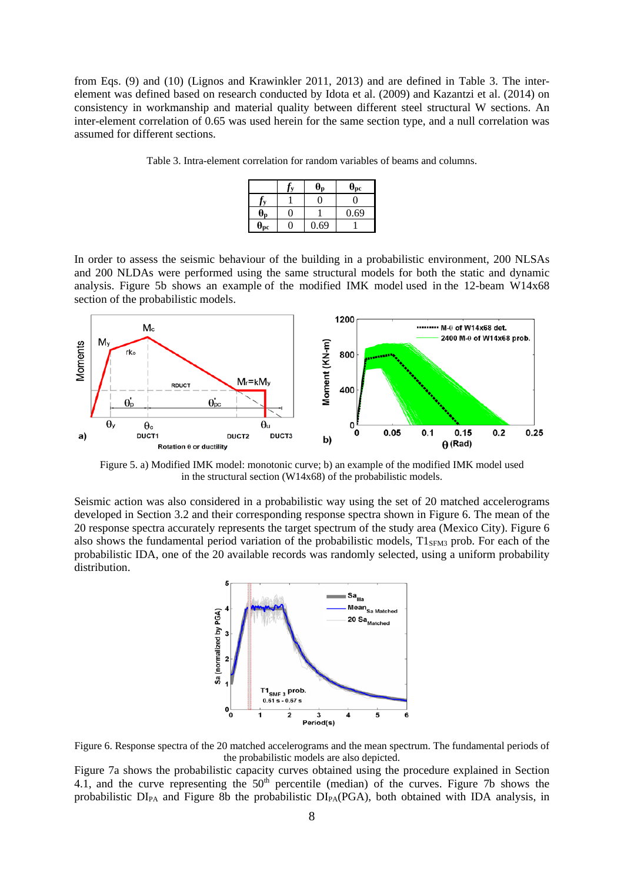from Eqs. (9) and (10) (Lignos and Krawinkler 2011, 2013) and are defined in Table 3. The interelement was defined based on research conducted by Idota et al. (2009) and Kazantzi et al. (2014) on consistency in workmanship and material quality between different steel structural W sections. An inter-element correlation of 0.65 was used herein for the same section type, and a null correlation was assumed for different sections.

Table 3. Intra-element correlation for random variables of beams and columns.

|                            | ⊎ո   | $\theta_{pc}$ |
|----------------------------|------|---------------|
|                            |      |               |
| $\bm{\theta}_{\mathbf{p}}$ |      | 0.69          |
| $\theta_{\rm pc}$          | 0.69 |               |

In order to assess the seismic behaviour of the building in a probabilistic environment, 200 NLSAs and 200 NLDAs were performed using the same structural models for both the static and dynamic analysis. Figure 5b shows an example of the modified IMK model used in the 12-beam W14x68 section of the probabilistic models.



Figure 5. a) Modified IMK model: monotonic curve; b) an example of the modified IMK model used in the structural section (W14x68) of the probabilistic models.

Seismic action was also considered in a probabilistic way using the set of 20 matched accelerograms developed in Section 3.2 and their corresponding response spectra shown in Figure 6. The mean of the 20 response spectra accurately represents the target spectrum of the study area (Mexico City). Figure 6 also shows the fundamental period variation of the probabilistic models,  $T1<sub>SFM3</sub>$  prob. For each of the probabilistic IDA, one of the 20 available records was randomly selected, using a uniform probability distribution.



Figure 6. Response spectra of the 20 matched accelerograms and the mean spectrum. The fundamental periods of the probabilistic models are also depicted.

Figure 7a shows the probabilistic capacity curves obtained using the procedure explained in Section 4.1, and the curve representing the  $50<sup>th</sup>$  percentile (median) of the curves. Figure 7b shows the probabilistic DI<sub>PA</sub> and Figure 8b the probabilistic DI<sub>PA</sub>(PGA), both obtained with IDA analysis, in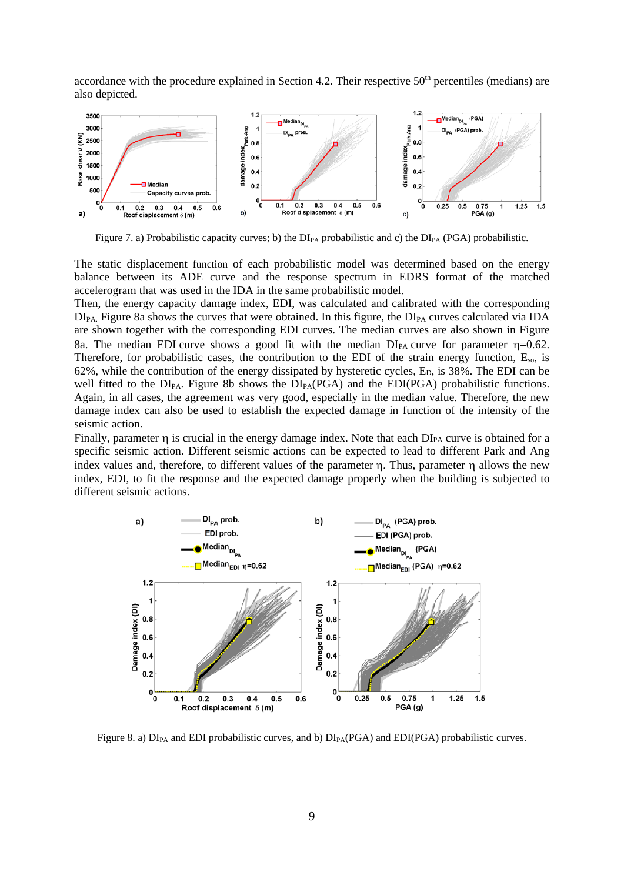accordance with the procedure explained in Section 4.2. Their respective  $50<sup>th</sup>$  percentiles (medians) are also depicted.



Figure 7. a) Probabilistic capacity curves; b) the  $DI_{PA}$  probabilistic and c) the  $DI_{PA}$  (PGA) probabilistic.

The static displacement function of each probabilistic model was determined based on the energy balance between its ADE curve and the response spectrum in EDRS format of the matched accelerogram that was used in the IDA in the same probabilistic model.

Then, the energy capacity damage index, EDI, was calculated and calibrated with the corresponding  $DI_{PA}$ . Figure 8a shows the curves that were obtained. In this figure, the  $DI_{PA}$  curves calculated via IDA are shown together with the corresponding EDI curves. The median curves are also shown in Figure 8a. The median EDI curve shows a good fit with the median  $DI_{PA}$  curve for parameter  $\eta=0.62$ . Therefore, for probabilistic cases, the contribution to the EDI of the strain energy function,  $E_{so}$ , is 62%, while the contribution of the energy dissipated by hysteretic cycles,  $E<sub>D</sub>$ , is 38%. The EDI can be well fitted to the  $DI_{PA}$ . Figure 8b shows the  $DI_{PA}(PGA)$  and the  $EDI(PGA)$  probabilistic functions. Again, in all cases, the agreement was very good, especially in the median value. Therefore, the new damage index can also be used to establish the expected damage in function of the intensity of the seismic action.

Finally, parameter η is crucial in the energy damage index. Note that each DI<sub>PA</sub> curve is obtained for a specific seismic action. Different seismic actions can be expected to lead to different Park and Ang index values and, therefore, to different values of the parameter η. Thus, parameter η allows the new index, EDI, to fit the response and the expected damage properly when the building is subjected to different seismic actions.



Figure 8. a)  $DI_{PA}$  and EDI probabilistic curves, and b)  $DI_{PA}(PGA)$  and  $EDI(PGA)$  probabilistic curves.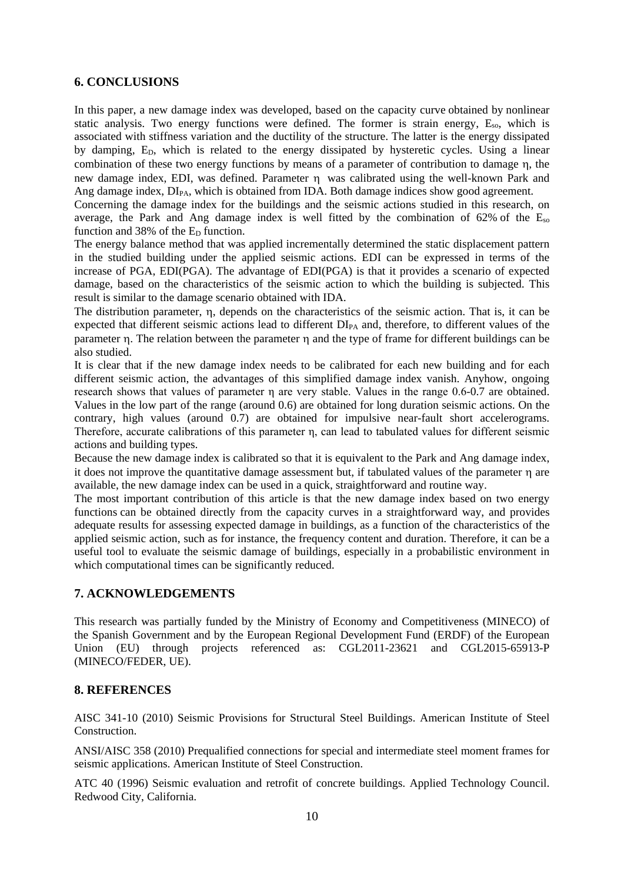## **6. CONCLUSIONS**

In this paper, a new damage index was developed, based on the capacity curve obtained by nonlinear static analysis. Two energy functions were defined. The former is strain energy, Eso, which is associated with stiffness variation and the ductility of the structure. The latter is the energy dissipated by damping, E<sub>D</sub>, which is related to the energy dissipated by hysteretic cycles. Using a linear combination of these two energy functions by means of a parameter of contribution to damage η, the new damage index, EDI, was defined. Parameter η was calibrated using the well-known Park and Ang damage index,  $DI_{PA}$ , which is obtained from IDA. Both damage indices show good agreement.

Concerning the damage index for the buildings and the seismic actions studied in this research, on average, the Park and Ang damage index is well fitted by the combination of 62% of the  $E_{so}$ function and 38% of the  $E<sub>D</sub>$  function.

The energy balance method that was applied incrementally determined the static displacement pattern in the studied building under the applied seismic actions. EDI can be expressed in terms of the increase of PGA, EDI(PGA). The advantage of EDI(PGA) is that it provides a scenario of expected damage, based on the characteristics of the seismic action to which the building is subjected. This result is similar to the damage scenario obtained with IDA.

The distribution parameter, η, depends on the characteristics of the seismic action. That is, it can be expected that different seismic actions lead to different DIPA and, therefore, to different values of the parameter η. The relation between the parameter η and the type of frame for different buildings can be also studied.

It is clear that if the new damage index needs to be calibrated for each new building and for each different seismic action, the advantages of this simplified damage index vanish. Anyhow, ongoing research shows that values of parameter η are very stable. Values in the range 0.6-0.7 are obtained. Values in the low part of the range (around 0.6) are obtained for long duration seismic actions. On the contrary, high values (around 0.7) are obtained for impulsive near-fault short accelerograms. Therefore, accurate calibrations of this parameter η, can lead to tabulated values for different seismic actions and building types.

Because the new damage index is calibrated so that it is equivalent to the Park and Ang damage index, it does not improve the quantitative damage assessment but, if tabulated values of the parameter η are available, the new damage index can be used in a quick, straightforward and routine way.

The most important contribution of this article is that the new damage index based on two energy functions can be obtained directly from the capacity curves in a straightforward way, and provides adequate results for assessing expected damage in buildings, as a function of the characteristics of the applied seismic action, such as for instance, the frequency content and duration. Therefore, it can be a useful tool to evaluate the seismic damage of buildings, especially in a probabilistic environment in which computational times can be significantly reduced.

# **7. ACKNOWLEDGEMENTS**

This research was partially funded by the Ministry of Economy and Competitiveness (MINECO) of the Spanish Government and by the European Regional Development Fund (ERDF) of the European Union (EU) through projects referenced as: CGL2011-23621 and CGL2015-65913-P (MINECO/FEDER, UE).

# **8. REFERENCES**

AISC 341-10 (2010) Seismic Provisions for Structural Steel Buildings. American Institute of Steel Construction.

ANSI/AISC 358 (2010) Prequalified connections for special and intermediate steel moment frames for seismic applications. American Institute of Steel Construction.

ATC 40 (1996) Seismic evaluation and retrofit of concrete buildings. Applied Technology Council. Redwood City, California.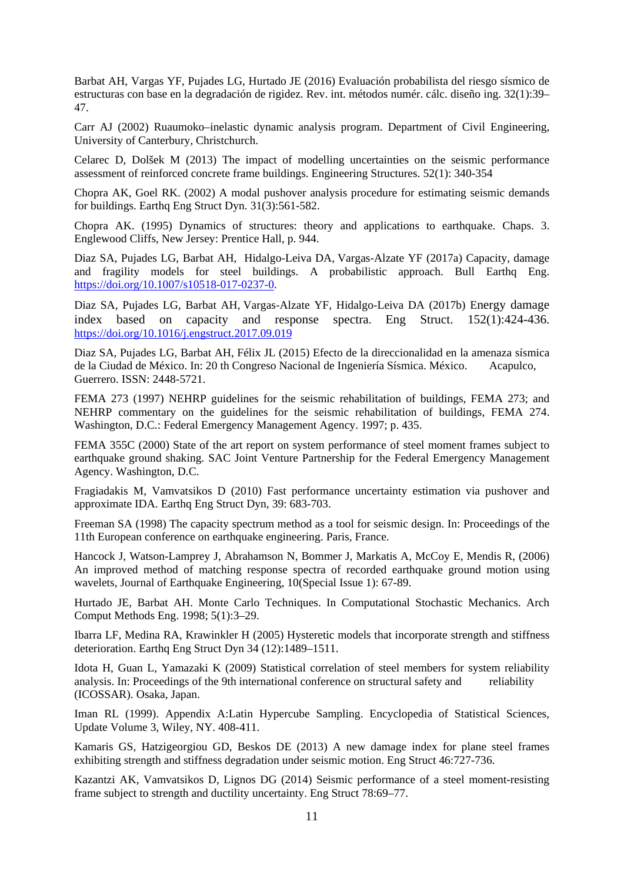Barbat AH, Vargas YF, Pujades LG, Hurtado JE (2016) Evaluación probabilista del riesgo sísmico de estructuras con base en la degradación de rigidez. Rev. int. métodos numér. cálc. diseño ing. 32(1):39– 47.

Carr AJ (2002) Ruaumoko–inelastic dynamic analysis program. Department of Civil Engineering, University of Canterbury, Christchurch.

Celarec D, Dolšek M (2013) The impact of modelling uncertainties on the seismic performance assessment of reinforced concrete frame buildings. Engineering Structures. 52(1): 340-354

Chopra AK, Goel RK. (2002) A modal pushover analysis procedure for estimating seismic demands for buildings. Earthq Eng Struct Dyn. 31(3):561-582.

Chopra AK. (1995) Dynamics of structures: theory and applications to earthquake. Chaps. 3. Englewood Cliffs, New Jersey: Prentice Hall, p. 944.

Diaz SA, Pujades LG, Barbat AH, Hidalgo-Leiva DA, Vargas-Alzate YF (2017a) Capacity, damage and fragility models for steel buildings. A probabilistic approach. Bull Earthq Eng. [https://doi.org/10.1007/s10518-017-0237-0.](https://doi.org/10.1007/s10518-017-0237-0)

Diaz SA, Pujades LG, Barbat AH, Vargas-Alzate YF, Hidalgo-Leiva DA (2017b) Energy damage index based on capacity and response spectra. Eng Struct. 152(1):424-436. <https://doi.org/10.1016/j.engstruct.2017.09.019>

Diaz SA, Pujades LG, Barbat AH, Félix JL (2015) Efecto de la direccionalidad en la amenaza sísmica de la Ciudad de México. In: 20 th Congreso Nacional de Ingeniería Sísmica. México. Acapulco, Guerrero. ISSN: 2448-5721.

FEMA 273 (1997) NEHRP guidelines for the seismic rehabilitation of buildings, FEMA 273; and NEHRP commentary on the guidelines for the seismic rehabilitation of buildings, FEMA 274. Washington, D.C.: Federal Emergency Management Agency. 1997; p. 435.

FEMA 355C (2000) State of the art report on system performance of steel moment frames subject to earthquake ground shaking. SAC Joint Venture Partnership for the Federal Emergency Management Agency. Washington, D.C.

Fragiadakis M, Vamvatsikos D (2010) Fast performance uncertainty estimation via pushover and approximate IDA. Earthq Eng Struct Dyn, 39: 683-703.

Freeman SA (1998) The capacity spectrum method as a tool for seismic design. In: Proceedings of the 11th European conference on earthquake engineering. Paris, France.

Hancock J, Watson-Lamprey J, Abrahamson N, Bommer J, Markatis A, McCoy E, Mendis R, (2006) An improved method of matching response spectra of recorded earthquake ground motion using wavelets, Journal of Earthquake Engineering, 10(Special Issue 1): 67-89.

Hurtado JE, Barbat AH. Monte Carlo Techniques. In Computational Stochastic Mechanics. Arch Comput Methods Eng. 1998; 5(1):3–29.

Ibarra LF, Medina RA, Krawinkler H (2005) Hysteretic models that incorporate strength and stiffness deterioration. Earthq Eng Struct Dyn 34 (12):1489–1511.

Idota H, Guan L, Yamazaki K (2009) Statistical correlation of steel members for system reliability analysis. In: Proceedings of the 9th international conference on structural safety and reliability (ICOSSAR). Osaka, Japan.

Iman RL (1999). Appendix A:Latin Hypercube Sampling. Encyclopedia of Statistical Sciences, Update Volume 3, Wiley, NY. 408-411.

Kamaris GS, Hatzigeorgiou GD, Beskos DE (2013) A new damage index for plane steel frames exhibiting strength and stiffness degradation under seismic motion. Eng Struct 46:727-736.

Kazantzi AK, Vamvatsikos D, Lignos DG (2014) Seismic performance of a steel moment-resisting frame subject to strength and ductility uncertainty. Eng Struct 78:69–77.